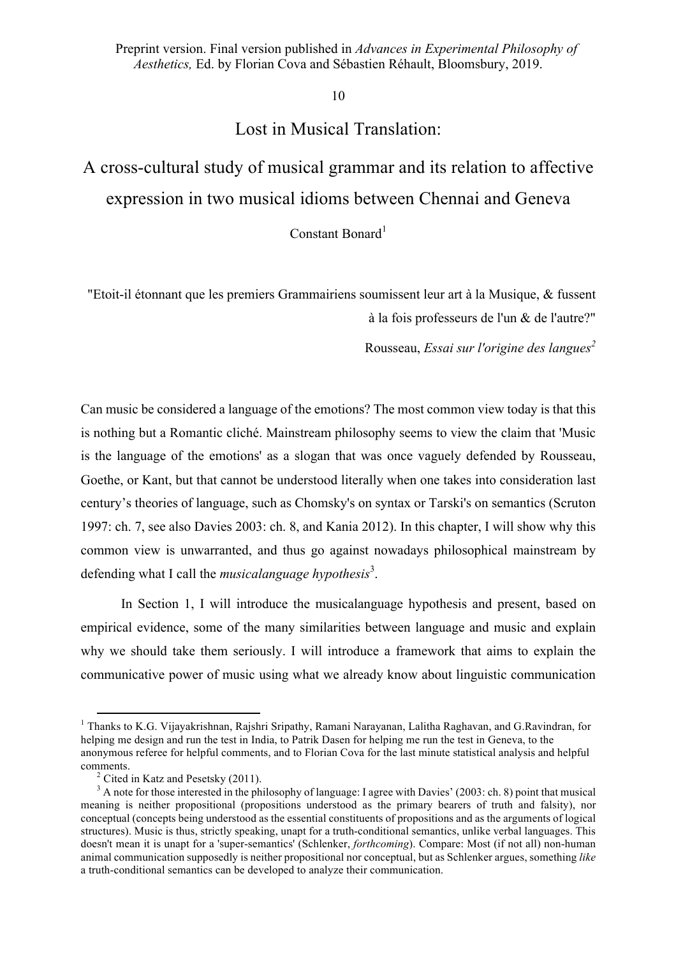10

Lost in Musical Translation:

# A cross-cultural study of musical grammar and its relation to affective expression in two musical idioms between Chennai and Geneva

Constant Bonard<sup>1</sup>

"Etoit-il étonnant que les premiers Grammairiens soumissent leur art à la Musique, & fussent à la fois professeurs de l'un & de l'autre?"

Rousseau, *Essai sur l'origine des langues<sup>2</sup>*

Can music be considered a language of the emotions? The most common view today is that this is nothing but a Romantic cliché. Mainstream philosophy seems to view the claim that 'Music is the language of the emotions' as a slogan that was once vaguely defended by Rousseau, Goethe, or Kant, but that cannot be understood literally when one takes into consideration last century's theories of language, such as Chomsky's on syntax or Tarski's on semantics (Scruton 1997: ch. 7, see also Davies 2003: ch. 8, and Kania 2012). In this chapter, I will show why this common view is unwarranted, and thus go against nowadays philosophical mainstream by defending what I call the *musicalanguage hypothesis*<sup>3</sup> .

In Section 1, I will introduce the musicalanguage hypothesis and present, based on empirical evidence, some of the many similarities between language and music and explain why we should take them seriously. I will introduce a framework that aims to explain the communicative power of music using what we already know about linguistic communication

<sup>&</sup>lt;sup>1</sup> Thanks to K.G. Vijayakrishnan, Rajshri Sripathy, Ramani Narayanan, Lalitha Raghavan, and G.Ravindran, for helping me design and run the test in India, to Patrik Dasen for helping me run the test in Geneva, to the anonymous referee for helpful comments, and to Florian Cova for the last minute statistical analysis and helpful comments. <sup>2</sup> Cited in Katz and Pesetsky (2011).

 $3$  A note for those interested in the philosophy of language: I agree with Davies' (2003: ch. 8) point that musical meaning is neither propositional (propositions understood as the primary bearers of truth and falsity), nor conceptual (concepts being understood as the essential constituents of propositions and as the arguments of logical structures). Music is thus, strictly speaking, unapt for a truth-conditional semantics, unlike verbal languages. This doesn't mean it is unapt for a 'super-semantics' (Schlenker, *forthcoming*). Compare: Most (if not all) non-human animal communication supposedly is neither propositional nor conceptual, but as Schlenker argues, something *like* a truth-conditional semantics can be developed to analyze their communication.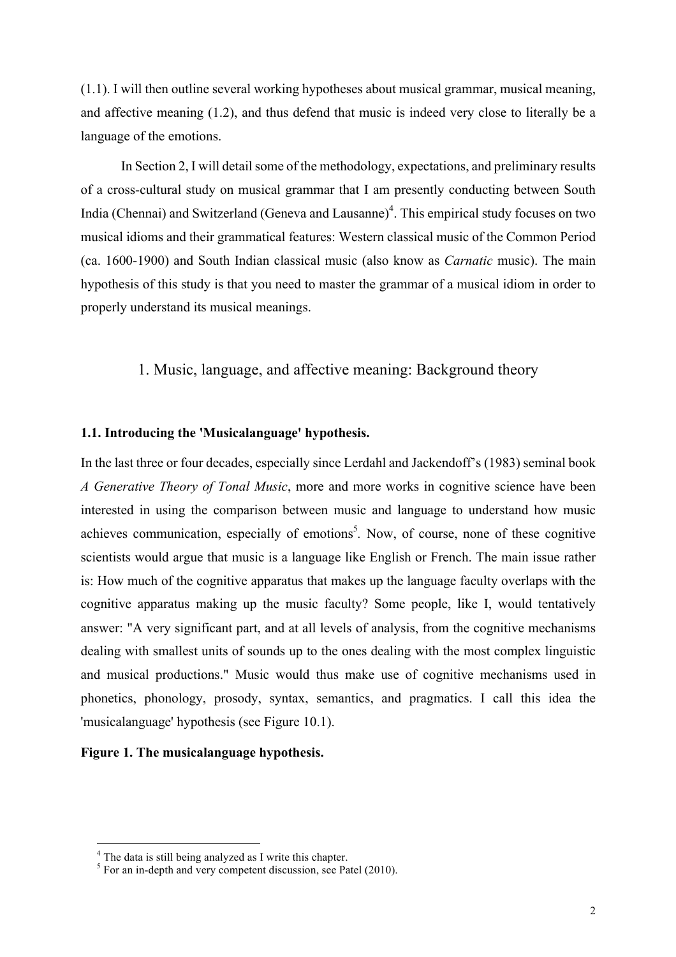(1.1). I will then outline several working hypotheses about musical grammar, musical meaning, and affective meaning (1.2), and thus defend that music is indeed very close to literally be a language of the emotions.

In Section 2, I will detail some of the methodology, expectations, and preliminary results of a cross-cultural study on musical grammar that I am presently conducting between South India (Chennai) and Switzerland (Geneva and Lausanne)<sup>4</sup>. This empirical study focuses on two musical idioms and their grammatical features: Western classical music of the Common Period (ca. 1600-1900) and South Indian classical music (also know as *Carnatic* music). The main hypothesis of this study is that you need to master the grammar of a musical idiom in order to properly understand its musical meanings.

### 1. Music, language, and affective meaning: Background theory

#### **1.1. Introducing the 'Musicalanguage' hypothesis.**

In the last three or four decades, especially since Lerdahl and Jackendoff's (1983) seminal book *A Generative Theory of Tonal Music*, more and more works in cognitive science have been interested in using the comparison between music and language to understand how music achieves communication, especially of emotions<sup>5</sup>. Now, of course, none of these cognitive scientists would argue that music is a language like English or French. The main issue rather is: How much of the cognitive apparatus that makes up the language faculty overlaps with the cognitive apparatus making up the music faculty? Some people, like I, would tentatively answer: "A very significant part, and at all levels of analysis, from the cognitive mechanisms dealing with smallest units of sounds up to the ones dealing with the most complex linguistic and musical productions." Music would thus make use of cognitive mechanisms used in phonetics, phonology, prosody, syntax, semantics, and pragmatics. I call this idea the 'musicalanguage' hypothesis (see Figure 10.1).

#### **Figure 1. The musicalanguage hypothesis.**

 $^4$  The data is still being analyzed as I write this chapter.<br><sup>5</sup> For an in-depth and very competent discussion, see Patel (2010).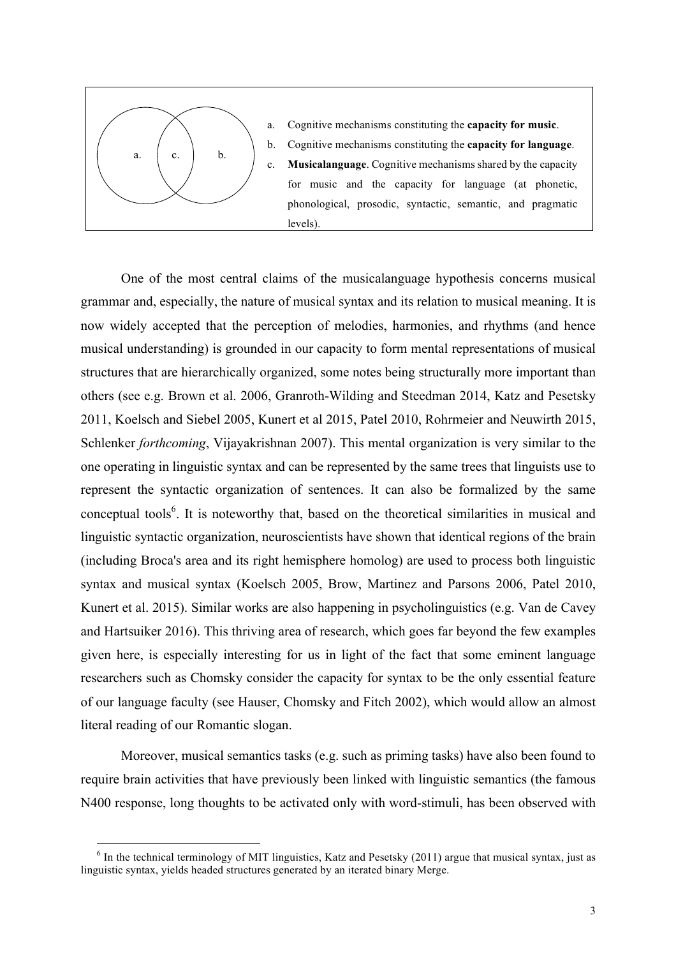

One of the most central claims of the musicalanguage hypothesis concerns musical grammar and, especially, the nature of musical syntax and its relation to musical meaning. It is now widely accepted that the perception of melodies, harmonies, and rhythms (and hence musical understanding) is grounded in our capacity to form mental representations of musical structures that are hierarchically organized, some notes being structurally more important than others (see e.g. Brown et al. 2006, Granroth-Wilding and Steedman 2014, Katz and Pesetsky 2011, Koelsch and Siebel 2005, Kunert et al 2015, Patel 2010, Rohrmeier and Neuwirth 2015, Schlenker *forthcoming*, Vijayakrishnan 2007). This mental organization is very similar to the one operating in linguistic syntax and can be represented by the same trees that linguists use to represent the syntactic organization of sentences. It can also be formalized by the same conceptual tools<sup>6</sup>. It is noteworthy that, based on the theoretical similarities in musical and linguistic syntactic organization, neuroscientists have shown that identical regions of the brain (including Broca's area and its right hemisphere homolog) are used to process both linguistic syntax and musical syntax (Koelsch 2005, Brow, Martinez and Parsons 2006, Patel 2010, Kunert et al. 2015). Similar works are also happening in psycholinguistics (e.g. Van de Cavey and Hartsuiker 2016). This thriving area of research, which goes far beyond the few examples given here, is especially interesting for us in light of the fact that some eminent language researchers such as Chomsky consider the capacity for syntax to be the only essential feature of our language faculty (see Hauser, Chomsky and Fitch 2002), which would allow an almost literal reading of our Romantic slogan.

Moreover, musical semantics tasks (e.g. such as priming tasks) have also been found to require brain activities that have previously been linked with linguistic semantics (the famous N400 response, long thoughts to be activated only with word-stimuli, has been observed with

 $<sup>6</sup>$  In the technical terminology of MIT linguistics, Katz and Pesetsky (2011) argue that musical syntax, just as</sup> linguistic syntax, yields headed structures generated by an iterated binary Merge.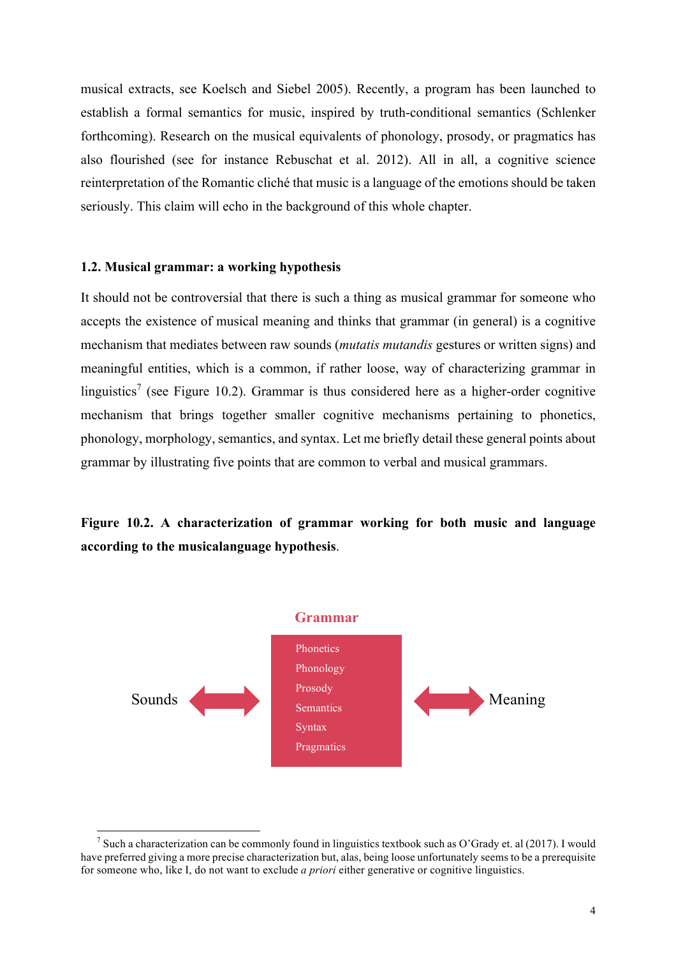musical extracts, see Koelsch and Siebel 2005). Recently, a program has been launched to establish a formal semantics for music, inspired by truth-conditional semantics (Schlenker forthcoming). Research on the musical equivalents of phonology, prosody, or pragmatics has also flourished (see for instance Rebuschat et al. 2012). All in all, a cognitive science reinterpretation of the Romantic cliché that music is a language of the emotions should be taken seriously. This claim will echo in the background of this whole chapter.

#### **1.2. Musical grammar: a working hypothesis**

It should not be controversial that there is such a thing as musical grammar for someone who accepts the existence of musical meaning and thinks that grammar (in general) is a cognitive mechanism that mediates between raw sounds (*mutatis mutandis* gestures or written signs) and meaningful entities, which is a common, if rather loose, way of characterizing grammar in linguistics<sup>7</sup> (see Figure 10.2). Grammar is thus considered here as a higher-order cognitive mechanism that brings together smaller cognitive mechanisms pertaining to phonetics, phonology, morphology, semantics, and syntax. Let me briefly detail these general points about grammar by illustrating five points that are common to verbal and musical grammars.

# **Figure 10.2. A characterization of grammar working for both music and language according to the musicalanguage hypothesis**.



<sup>&</sup>lt;sup>7</sup> Such a characterization can be commonly found in linguistics textbook such as O'Grady et. al (2017). I would have preferred giving a more precise characterization but, alas, being loose unfortunately seems to be a prerequisite for someone who, like I, do not want to exclude *a priori* either generative or cognitive linguistics.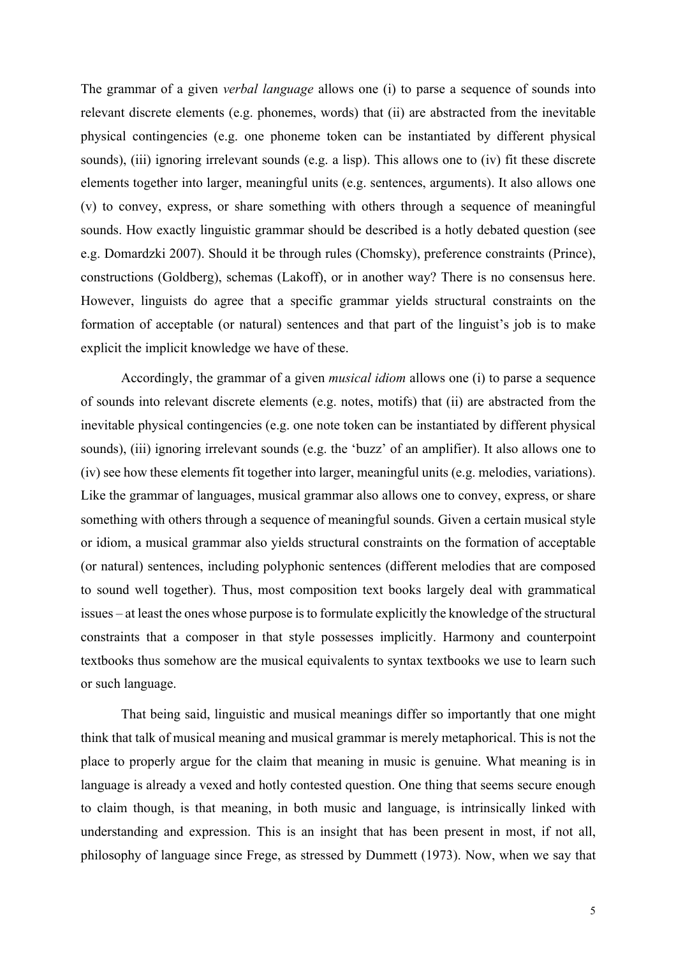The grammar of a given *verbal language* allows one (i) to parse a sequence of sounds into relevant discrete elements (e.g. phonemes, words) that (ii) are abstracted from the inevitable physical contingencies (e.g. one phoneme token can be instantiated by different physical sounds), (iii) ignoring irrelevant sounds (e.g. a lisp). This allows one to (iv) fit these discrete elements together into larger, meaningful units (e.g. sentences, arguments). It also allows one (v) to convey, express, or share something with others through a sequence of meaningful sounds. How exactly linguistic grammar should be described is a hotly debated question (see e.g. Domardzki 2007). Should it be through rules (Chomsky), preference constraints (Prince), constructions (Goldberg), schemas (Lakoff), or in another way? There is no consensus here. However, linguists do agree that a specific grammar yields structural constraints on the formation of acceptable (or natural) sentences and that part of the linguist's job is to make explicit the implicit knowledge we have of these.

Accordingly, the grammar of a given *musical idiom* allows one (i) to parse a sequence of sounds into relevant discrete elements (e.g. notes, motifs) that (ii) are abstracted from the inevitable physical contingencies (e.g. one note token can be instantiated by different physical sounds), (iii) ignoring irrelevant sounds (e.g. the 'buzz' of an amplifier). It also allows one to (iv) see how these elements fit together into larger, meaningful units (e.g. melodies, variations). Like the grammar of languages, musical grammar also allows one to convey, express, or share something with others through a sequence of meaningful sounds. Given a certain musical style or idiom, a musical grammar also yields structural constraints on the formation of acceptable (or natural) sentences, including polyphonic sentences (different melodies that are composed to sound well together). Thus, most composition text books largely deal with grammatical issues – at least the ones whose purpose is to formulate explicitly the knowledge of the structural constraints that a composer in that style possesses implicitly. Harmony and counterpoint textbooks thus somehow are the musical equivalents to syntax textbooks we use to learn such or such language.

That being said, linguistic and musical meanings differ so importantly that one might think that talk of musical meaning and musical grammar is merely metaphorical. This is not the place to properly argue for the claim that meaning in music is genuine. What meaning is in language is already a vexed and hotly contested question. One thing that seems secure enough to claim though, is that meaning, in both music and language, is intrinsically linked with understanding and expression. This is an insight that has been present in most, if not all, philosophy of language since Frege, as stressed by Dummett (1973). Now, when we say that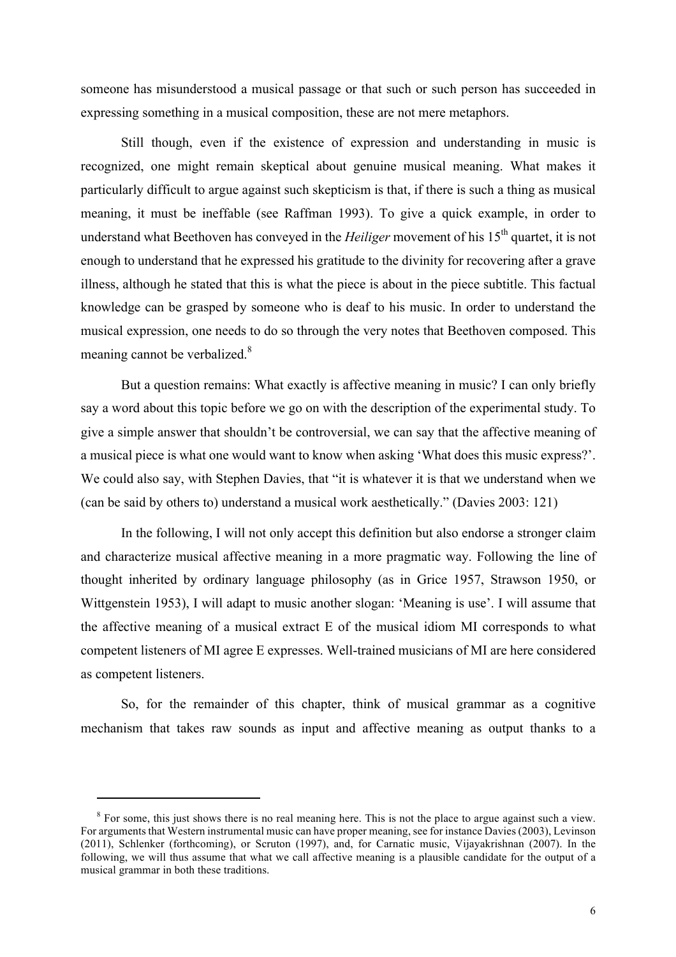someone has misunderstood a musical passage or that such or such person has succeeded in expressing something in a musical composition, these are not mere metaphors.

Still though, even if the existence of expression and understanding in music is recognized, one might remain skeptical about genuine musical meaning. What makes it particularly difficult to argue against such skepticism is that, if there is such a thing as musical meaning, it must be ineffable (see Raffman 1993). To give a quick example, in order to understand what Beethoven has conveyed in the *Heiliger* movement of his 15<sup>th</sup> quartet, it is not enough to understand that he expressed his gratitude to the divinity for recovering after a grave illness, although he stated that this is what the piece is about in the piece subtitle. This factual knowledge can be grasped by someone who is deaf to his music. In order to understand the musical expression, one needs to do so through the very notes that Beethoven composed. This meaning cannot be verbalized.<sup>8</sup>

But a question remains: What exactly is affective meaning in music? I can only briefly say a word about this topic before we go on with the description of the experimental study. To give a simple answer that shouldn't be controversial, we can say that the affective meaning of a musical piece is what one would want to know when asking 'What does this music express?'. We could also say, with Stephen Davies, that "it is whatever it is that we understand when we (can be said by others to) understand a musical work aesthetically." (Davies 2003: 121)

In the following, I will not only accept this definition but also endorse a stronger claim and characterize musical affective meaning in a more pragmatic way. Following the line of thought inherited by ordinary language philosophy (as in Grice 1957, Strawson 1950, or Wittgenstein 1953), I will adapt to music another slogan: 'Meaning is use'. I will assume that the affective meaning of a musical extract E of the musical idiom MI corresponds to what competent listeners of MI agree E expresses. Well-trained musicians of MI are here considered as competent listeners.

So, for the remainder of this chapter, think of musical grammar as a cognitive mechanism that takes raw sounds as input and affective meaning as output thanks to a

<sup>&</sup>lt;sup>8</sup> For some, this just shows there is no real meaning here. This is not the place to argue against such a view. For arguments that Western instrumental music can have proper meaning, see for instance Davies (2003), Levinson (2011), Schlenker (forthcoming), or Scruton (1997), and, for Carnatic music, Vijayakrishnan (2007). In the following, we will thus assume that what we call affective meaning is a plausible candidate for the output of a musical grammar in both these traditions.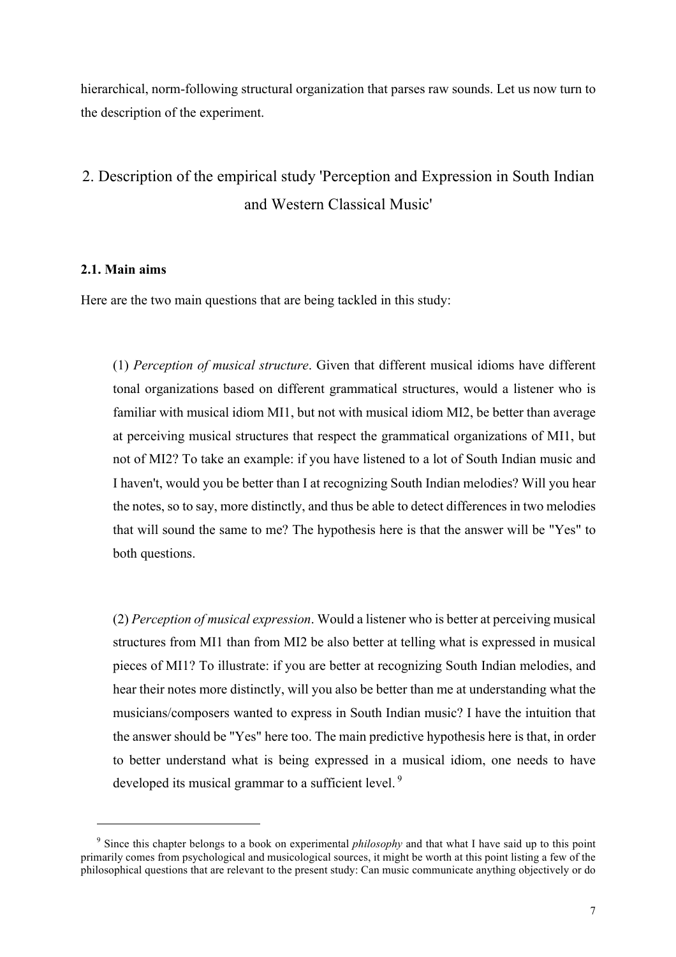hierarchical, norm-following structural organization that parses raw sounds. Let us now turn to the description of the experiment.

# 2. Description of the empirical study 'Perception and Expression in South Indian and Western Classical Music'

### **2.1. Main aims**

Here are the two main questions that are being tackled in this study:

(1) *Perception of musical structure*. Given that different musical idioms have different tonal organizations based on different grammatical structures, would a listener who is familiar with musical idiom MI1, but not with musical idiom MI2, be better than average at perceiving musical structures that respect the grammatical organizations of MI1, but not of MI2? To take an example: if you have listened to a lot of South Indian music and I haven't, would you be better than I at recognizing South Indian melodies? Will you hear the notes, so to say, more distinctly, and thus be able to detect differences in two melodies that will sound the same to me? The hypothesis here is that the answer will be "Yes" to both questions.

(2) *Perception of musical expression*. Would a listener who is better at perceiving musical structures from MI1 than from MI2 be also better at telling what is expressed in musical pieces of MI1? To illustrate: if you are better at recognizing South Indian melodies, and hear their notes more distinctly, will you also be better than me at understanding what the musicians/composers wanted to express in South Indian music? I have the intuition that the answer should be "Yes" here too. The main predictive hypothesis here is that, in order to better understand what is being expressed in a musical idiom, one needs to have developed its musical grammar to a sufficient level.<sup>9</sup>

<sup>9</sup> Since this chapter belongs to a book on experimental *philosophy* and that what I have said up to this point primarily comes from psychological and musicological sources, it might be worth at this point listing a few of the philosophical questions that are relevant to the present study: Can music communicate anything objectively or do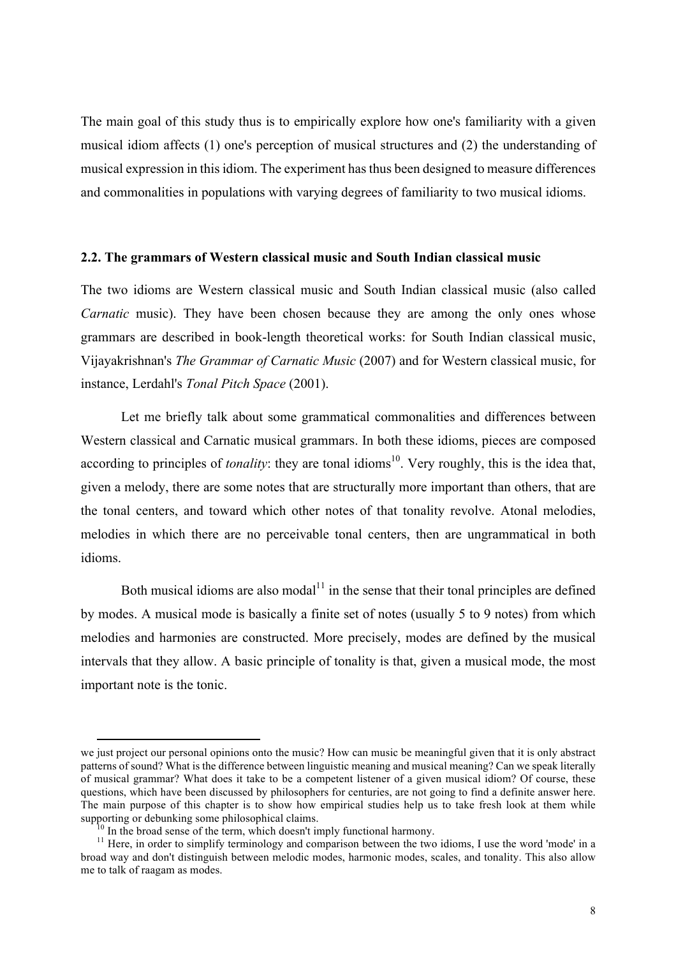The main goal of this study thus is to empirically explore how one's familiarity with a given musical idiom affects (1) one's perception of musical structures and (2) the understanding of musical expression in this idiom. The experiment has thus been designed to measure differences and commonalities in populations with varying degrees of familiarity to two musical idioms.

#### **2.2. The grammars of Western classical music and South Indian classical music**

The two idioms are Western classical music and South Indian classical music (also called *Carnatic* music). They have been chosen because they are among the only ones whose grammars are described in book-length theoretical works: for South Indian classical music, Vijayakrishnan's *The Grammar of Carnatic Music* (2007) and for Western classical music, for instance, Lerdahl's *Tonal Pitch Space* (2001).

Let me briefly talk about some grammatical commonalities and differences between Western classical and Carnatic musical grammars. In both these idioms, pieces are composed according to principles of *tonality*: they are tonal idioms<sup>10</sup>. Very roughly, this is the idea that, given a melody, there are some notes that are structurally more important than others, that are the tonal centers, and toward which other notes of that tonality revolve. Atonal melodies, melodies in which there are no perceivable tonal centers, then are ungrammatical in both idioms.

Both musical idioms are also modal<sup>11</sup> in the sense that their tonal principles are defined by modes. A musical mode is basically a finite set of notes (usually 5 to 9 notes) from which melodies and harmonies are constructed. More precisely, modes are defined by the musical intervals that they allow. A basic principle of tonality is that, given a musical mode, the most important note is the tonic.

we just project our personal opinions onto the music? How can music be meaningful given that it is only abstract patterns of sound? What is the difference between linguistic meaning and musical meaning? Can we speak literally of musical grammar? What does it take to be a competent listener of a given musical idiom? Of course, these questions, which have been discussed by philosophers for centuries, are not going to find a definite answer here. The main purpose of this chapter is to show how empirical studies help us to take fresh look at them while supporting or debunking some philosophical claims.<br><sup>10</sup> In the broad sense of the term, which doesn't imply functional harmony.<br><sup>11</sup> Here, in order to simplify terminology and comparison between the two idioms, I use the w

broad way and don't distinguish between melodic modes, harmonic modes, scales, and tonality. This also allow me to talk of raagam as modes.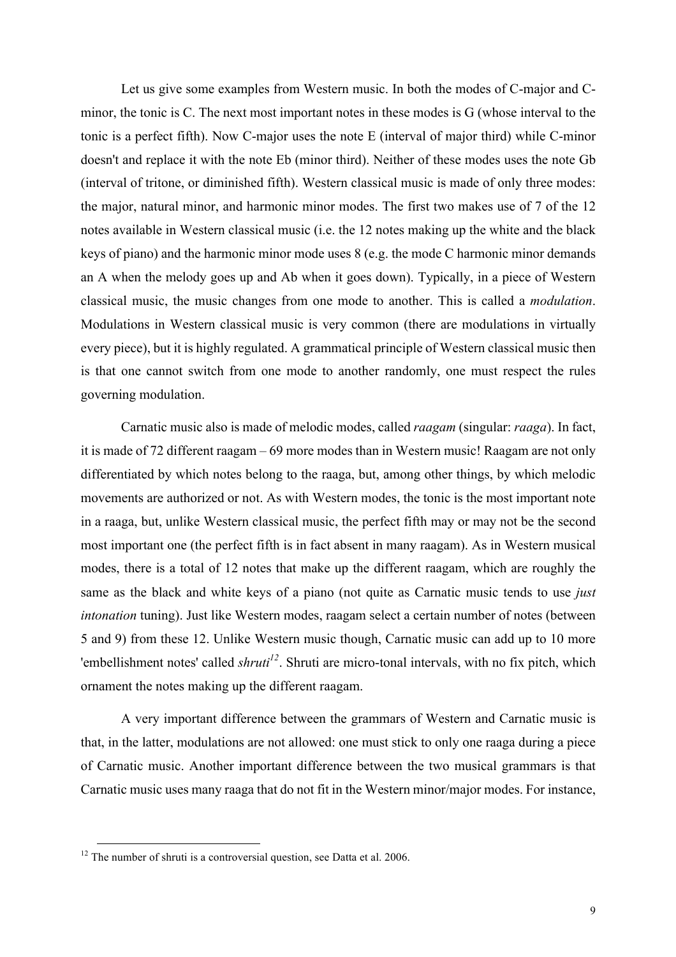Let us give some examples from Western music. In both the modes of C-major and Cminor, the tonic is C. The next most important notes in these modes is G (whose interval to the tonic is a perfect fifth). Now C-major uses the note E (interval of major third) while C-minor doesn't and replace it with the note Eb (minor third). Neither of these modes uses the note Gb (interval of tritone, or diminished fifth). Western classical music is made of only three modes: the major, natural minor, and harmonic minor modes. The first two makes use of 7 of the 12 notes available in Western classical music (i.e. the 12 notes making up the white and the black keys of piano) and the harmonic minor mode uses 8 (e.g. the mode C harmonic minor demands an A when the melody goes up and Ab when it goes down). Typically, in a piece of Western classical music, the music changes from one mode to another. This is called a *modulation*. Modulations in Western classical music is very common (there are modulations in virtually every piece), but it is highly regulated. A grammatical principle of Western classical music then is that one cannot switch from one mode to another randomly, one must respect the rules governing modulation.

Carnatic music also is made of melodic modes, called *raagam* (singular: *raaga*). In fact, it is made of 72 different raagam – 69 more modes than in Western music! Raagam are not only differentiated by which notes belong to the raaga, but, among other things, by which melodic movements are authorized or not. As with Western modes, the tonic is the most important note in a raaga, but, unlike Western classical music, the perfect fifth may or may not be the second most important one (the perfect fifth is in fact absent in many raagam). As in Western musical modes, there is a total of 12 notes that make up the different raagam, which are roughly the same as the black and white keys of a piano (not quite as Carnatic music tends to use *just intonation* tuning). Just like Western modes, raagam select a certain number of notes (between 5 and 9) from these 12. Unlike Western music though, Carnatic music can add up to 10 more 'embellishment notes' called  $shruti^{12}$ . Shruti are micro-tonal intervals, with no fix pitch, which ornament the notes making up the different raagam.

A very important difference between the grammars of Western and Carnatic music is that, in the latter, modulations are not allowed: one must stick to only one raaga during a piece of Carnatic music. Another important difference between the two musical grammars is that Carnatic music uses many raaga that do not fit in the Western minor/major modes. For instance,

 $12$  The number of shruti is a controversial question, see Datta et al. 2006.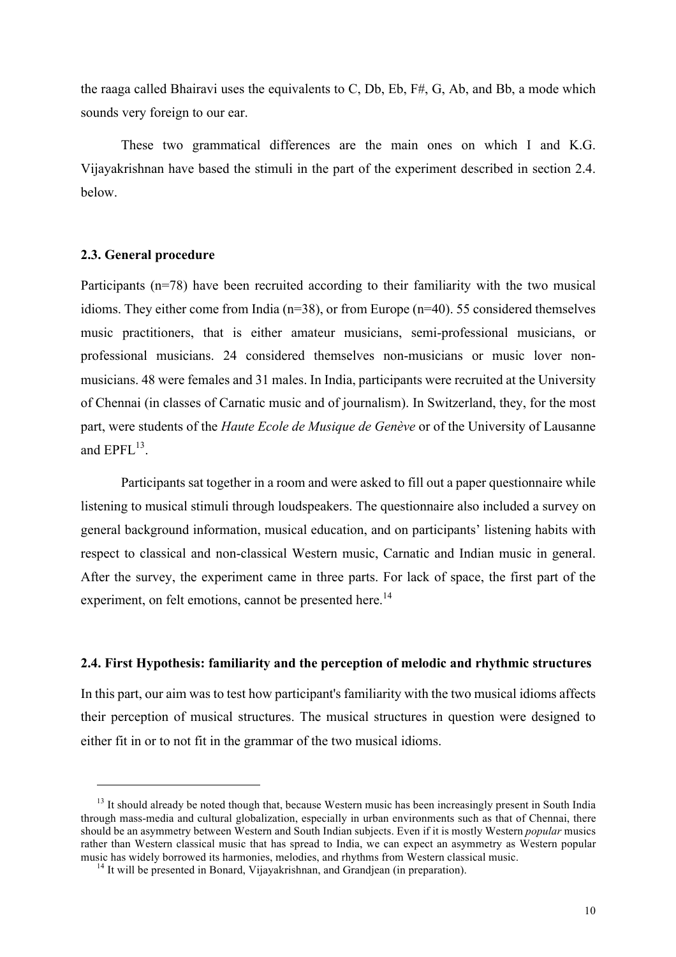the raaga called Bhairavi uses the equivalents to C, Db, Eb, F#, G, Ab, and Bb, a mode which sounds very foreign to our ear.

These two grammatical differences are the main ones on which I and K.G. Vijayakrishnan have based the stimuli in the part of the experiment described in section 2.4. below.

#### **2.3. General procedure**

Participants (n=78) have been recruited according to their familiarity with the two musical idioms. They either come from India (n=38), or from Europe (n=40). 55 considered themselves music practitioners, that is either amateur musicians, semi-professional musicians, or professional musicians. 24 considered themselves non-musicians or music lover nonmusicians. 48 were females and 31 males. In India, participants were recruited at the University of Chennai (in classes of Carnatic music and of journalism). In Switzerland, they, for the most part, were students of the *Haute Ecole de Musique de Genève* or of the University of Lausanne and EPFL $^{13}$ .

Participants sat together in a room and were asked to fill out a paper questionnaire while listening to musical stimuli through loudspeakers. The questionnaire also included a survey on general background information, musical education, and on participants' listening habits with respect to classical and non-classical Western music, Carnatic and Indian music in general. After the survey, the experiment came in three parts. For lack of space, the first part of the experiment, on felt emotions, cannot be presented here.<sup>14</sup>

#### **2.4. First Hypothesis: familiarity and the perception of melodic and rhythmic structures**

In this part, our aim was to test how participant's familiarity with the two musical idioms affects their perception of musical structures. The musical structures in question were designed to either fit in or to not fit in the grammar of the two musical idioms.

<sup>&</sup>lt;sup>13</sup> It should already be noted though that, because Western music has been increasingly present in South India through mass-media and cultural globalization, especially in urban environments such as that of Chennai, there should be an asymmetry between Western and South Indian subjects. Even if it is mostly Western *popular* musics rather than Western classical music that has spread to India, we can expect an asymmetry as Western popular music has widely borrowed its harmonies, melodies, and rhythms from Western classical music.

 $14$  It will be presented in Bonard, Vijayakrishnan, and Grandjean (in preparation).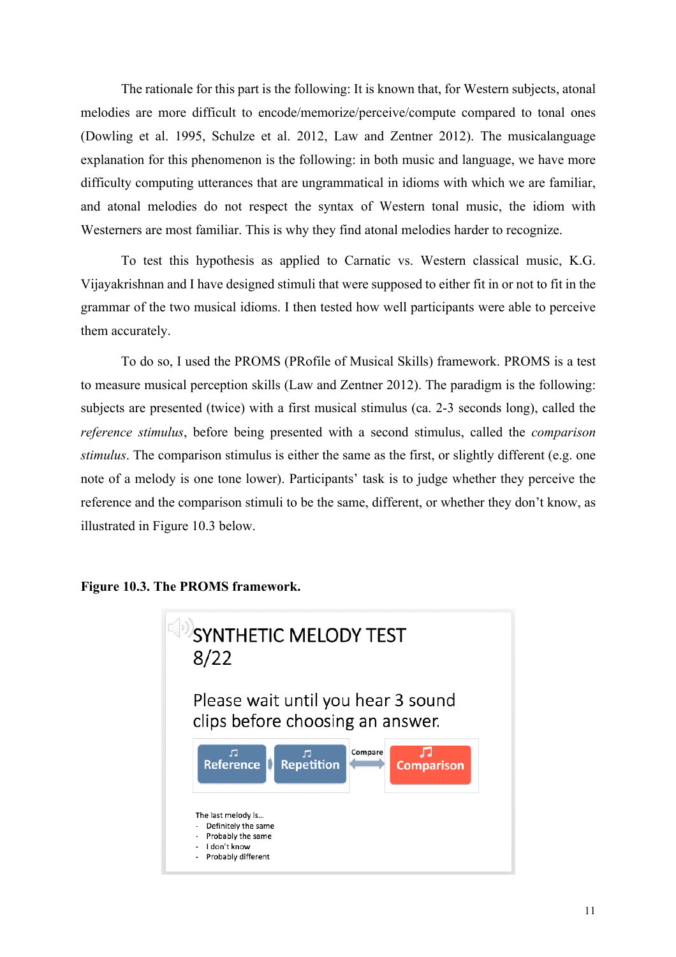The rationale for this part is the following: It is known that, for Western subjects, atonal melodies are more difficult to encode/memorize/perceive/compute compared to tonal ones (Dowling et al. 1995, Schulze et al. 2012, Law and Zentner 2012). The musicalanguage explanation for this phenomenon is the following: in both music and language, we have more difficulty computing utterances that are ungrammatical in idioms with which we are familiar, and atonal melodies do not respect the syntax of Western tonal music, the idiom with Westerners are most familiar. This is why they find atonal melodies harder to recognize.

To test this hypothesis as applied to Carnatic vs. Western classical music, K.G. Vijayakrishnan and I have designed stimuli that were supposed to either fit in or not to fit in the grammar of the two musical idioms. I then tested how well participants were able to perceive them accurately.

To do so, I used the PROMS (PRofile of Musical Skills) framework. PROMS is a test to measure musical perception skills (Law and Zentner 2012). The paradigm is the following: subjects are presented (twice) with a first musical stimulus (ca. 2-3 seconds long), called the *reference stimulus*, before being presented with a second stimulus, called the *comparison stimulus*. The comparison stimulus is either the same as the first, or slightly different (e.g. one note of a melody is one tone lower). Participants' task is to judge whether they perceive the reference and the comparison stimuli to be the same, different, or whether they don't know, as illustrated in Figure 10.3 below.



#### **Figure 10.3. The PROMS framework.**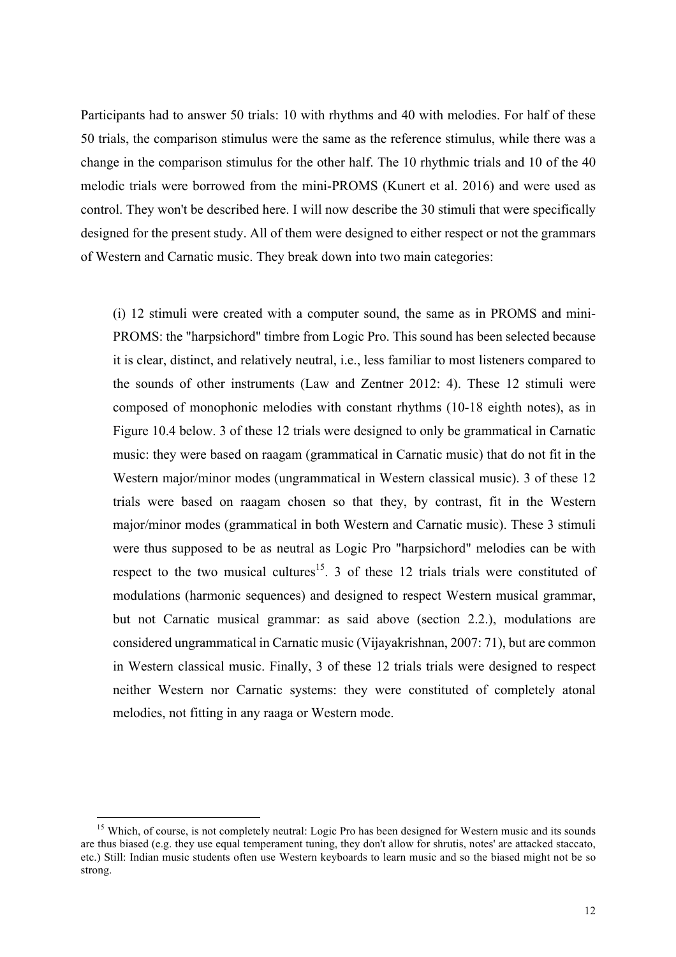Participants had to answer 50 trials: 10 with rhythms and 40 with melodies. For half of these 50 trials, the comparison stimulus were the same as the reference stimulus, while there was a change in the comparison stimulus for the other half. The 10 rhythmic trials and 10 of the 40 melodic trials were borrowed from the mini-PROMS (Kunert et al. 2016) and were used as control. They won't be described here. I will now describe the 30 stimuli that were specifically designed for the present study. All of them were designed to either respect or not the grammars of Western and Carnatic music. They break down into two main categories:

(i) 12 stimuli were created with a computer sound, the same as in PROMS and mini-PROMS: the "harpsichord" timbre from Logic Pro. This sound has been selected because it is clear, distinct, and relatively neutral, i.e., less familiar to most listeners compared to the sounds of other instruments (Law and Zentner 2012: 4). These 12 stimuli were composed of monophonic melodies with constant rhythms (10-18 eighth notes), as in Figure 10.4 below. 3 of these 12 trials were designed to only be grammatical in Carnatic music: they were based on raagam (grammatical in Carnatic music) that do not fit in the Western major/minor modes (ungrammatical in Western classical music). 3 of these 12 trials were based on raagam chosen so that they, by contrast, fit in the Western major/minor modes (grammatical in both Western and Carnatic music). These 3 stimuli were thus supposed to be as neutral as Logic Pro "harpsichord" melodies can be with respect to the two musical cultures<sup>15</sup>. 3 of these 12 trials trials were constituted of modulations (harmonic sequences) and designed to respect Western musical grammar, but not Carnatic musical grammar: as said above (section 2.2.), modulations are considered ungrammatical in Carnatic music (Vijayakrishnan, 2007: 71), but are common in Western classical music. Finally, 3 of these 12 trials trials were designed to respect neither Western nor Carnatic systems: they were constituted of completely atonal melodies, not fitting in any raaga or Western mode.

<sup>&</sup>lt;sup>15</sup> Which, of course, is not completely neutral: Logic Pro has been designed for Western music and its sounds are thus biased (e.g. they use equal temperament tuning, they don't allow for shrutis, notes' are attacked staccato, etc.) Still: Indian music students often use Western keyboards to learn music and so the biased might not be so strong.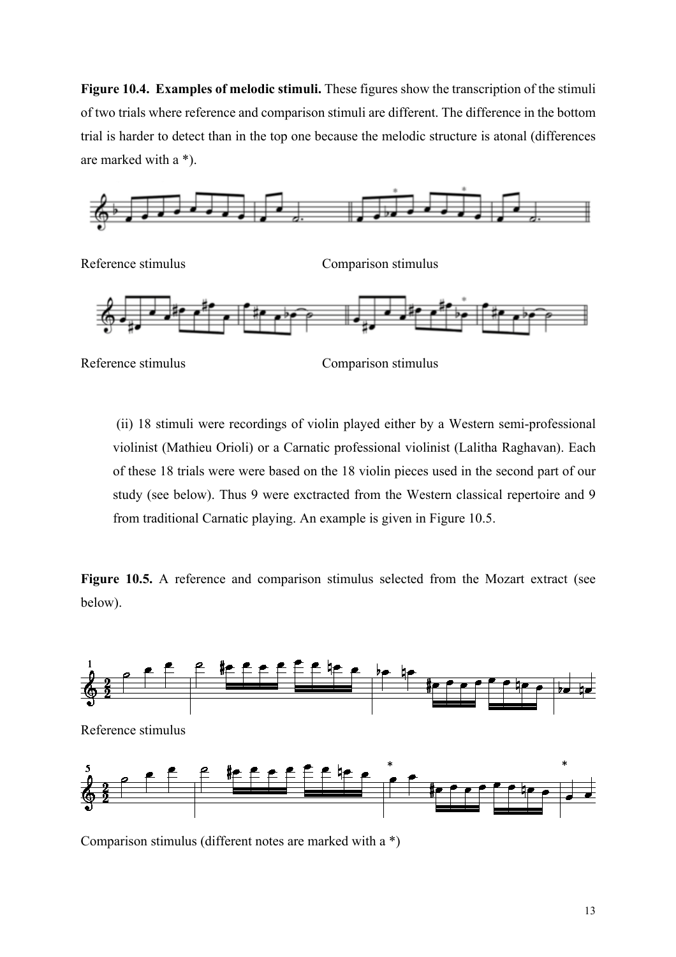**Figure 10.4. Examples of melodic stimuli.** These figures show the transcription of the stimuli of two trials where reference and comparison stimuli are different. The difference in the bottom trial is harder to detect than in the top one because the melodic structure is atonal (differences are marked with a \*).





Reference stimulus Comparison stimulus

(ii) 18 stimuli were recordings of violin played either by a Western semi-professional violinist (Mathieu Orioli) or a Carnatic professional violinist (Lalitha Raghavan). Each of these 18 trials were were based on the 18 violin pieces used in the second part of our study (see below). Thus 9 were exctracted from the Western classical repertoire and 9 from traditional Carnatic playing. An example is given in Figure 10.5.

Figure 10.5. A reference and comparison stimulus selected from the Mozart extract (see below).



Comparison stimulus (different notes are marked with a \*)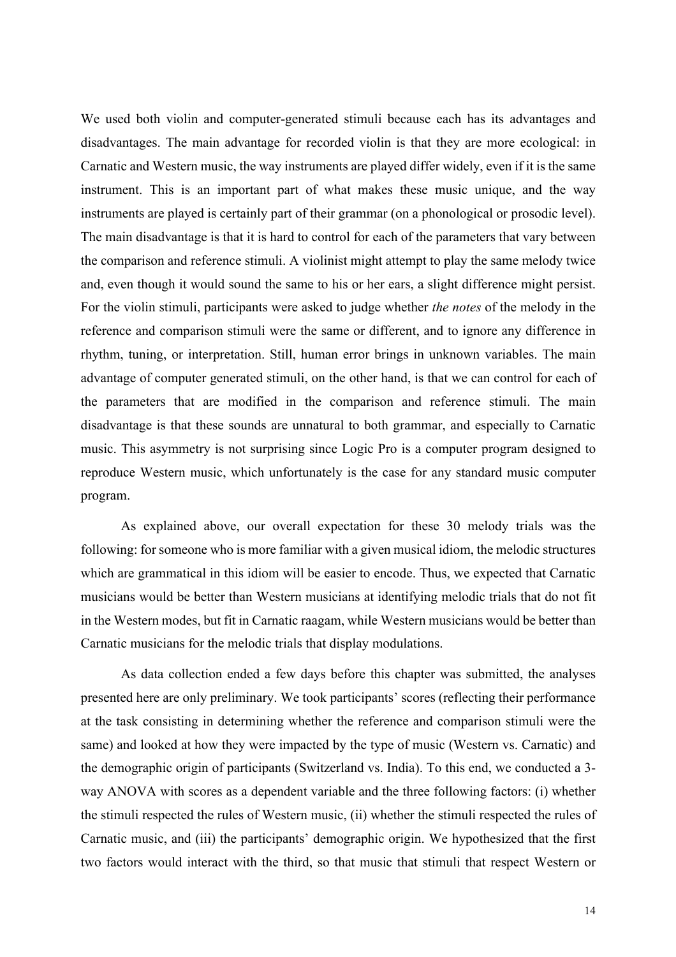We used both violin and computer-generated stimuli because each has its advantages and disadvantages. The main advantage for recorded violin is that they are more ecological: in Carnatic and Western music, the way instruments are played differ widely, even if it is the same instrument. This is an important part of what makes these music unique, and the way instruments are played is certainly part of their grammar (on a phonological or prosodic level). The main disadvantage is that it is hard to control for each of the parameters that vary between the comparison and reference stimuli. A violinist might attempt to play the same melody twice and, even though it would sound the same to his or her ears, a slight difference might persist. For the violin stimuli, participants were asked to judge whether *the notes* of the melody in the reference and comparison stimuli were the same or different, and to ignore any difference in rhythm, tuning, or interpretation. Still, human error brings in unknown variables. The main advantage of computer generated stimuli, on the other hand, is that we can control for each of the parameters that are modified in the comparison and reference stimuli. The main disadvantage is that these sounds are unnatural to both grammar, and especially to Carnatic music. This asymmetry is not surprising since Logic Pro is a computer program designed to reproduce Western music, which unfortunately is the case for any standard music computer program.

As explained above, our overall expectation for these 30 melody trials was the following: for someone who is more familiar with a given musical idiom, the melodic structures which are grammatical in this idiom will be easier to encode. Thus, we expected that Carnatic musicians would be better than Western musicians at identifying melodic trials that do not fit in the Western modes, but fit in Carnatic raagam, while Western musicians would be better than Carnatic musicians for the melodic trials that display modulations.

As data collection ended a few days before this chapter was submitted, the analyses presented here are only preliminary. We took participants' scores (reflecting their performance at the task consisting in determining whether the reference and comparison stimuli were the same) and looked at how they were impacted by the type of music (Western vs. Carnatic) and the demographic origin of participants (Switzerland vs. India). To this end, we conducted a 3 way ANOVA with scores as a dependent variable and the three following factors: (i) whether the stimuli respected the rules of Western music, (ii) whether the stimuli respected the rules of Carnatic music, and (iii) the participants' demographic origin. We hypothesized that the first two factors would interact with the third, so that music that stimuli that respect Western or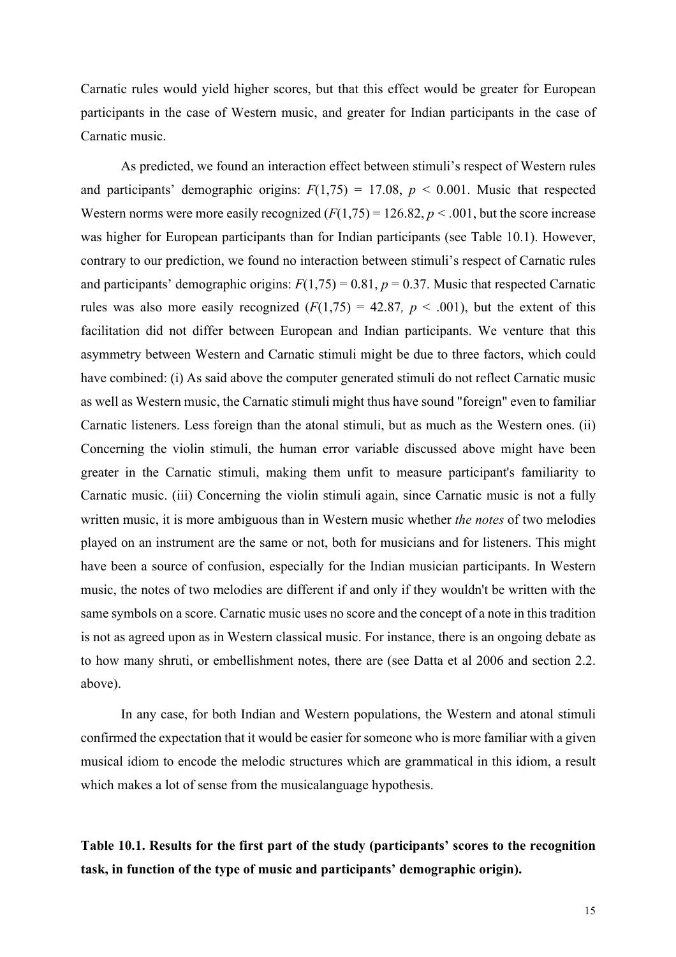Carnatic rules would yield higher scores, but that this effect would be greater for European participants in the case of Western music, and greater for Indian participants in the case of Carnatic music.

As predicted, we found an interaction effect between stimuli's respect of Western rules and participants' demographic origins:  $F(1,75) = 17.08$ ,  $p < 0.001$ . Music that respected Western norms were more easily recognized  $(F(1,75) = 126.82, p < .001$ , but the score increase was higher for European participants than for Indian participants (see Table 10.1). However, contrary to our prediction, we found no interaction between stimuli's respect of Carnatic rules and participants' demographic origins:  $F(1,75) = 0.81$ ,  $p = 0.37$ . Music that respected Carnatic rules was also more easily recognized  $(F(1,75) = 42.87, p \le .001)$ , but the extent of this facilitation did not differ between European and Indian participants. We venture that this asymmetry between Western and Carnatic stimuli might be due to three factors, which could have combined: (i) As said above the computer generated stimuli do not reflect Carnatic music as well as Western music, the Carnatic stimuli might thus have sound "foreign" even to familiar Carnatic listeners. Less foreign than the atonal stimuli, but as much as the Western ones. (ii) Concerning the violin stimuli, the human error variable discussed above might have been greater in the Carnatic stimuli, making them unfit to measure participant's familiarity to Carnatic music. (iii) Concerning the violin stimuli again, since Carnatic music is not a fully written music, it is more ambiguous than in Western music whether *the notes* of two melodies played on an instrument are the same or not, both for musicians and for listeners. This might have been a source of confusion, especially for the Indian musician participants. In Western music, the notes of two melodies are different if and only if they wouldn't be written with the same symbols on a score. Carnatic music uses no score and the concept of a note in this tradition is not as agreed upon as in Western classical music. For instance, there is an ongoing debate as to how many shruti, or embellishment notes, there are (see Datta et al 2006 and section 2.2. above).

In any case, for both Indian and Western populations, the Western and atonal stimuli confirmed the expectation that it would be easier for someone who is more familiar with a given musical idiom to encode the melodic structures which are grammatical in this idiom, a result which makes a lot of sense from the musicalanguage hypothesis.

**Table 10.1. Results for the first part of the study (participants' scores to the recognition task, in function of the type of music and participants' demographic origin).**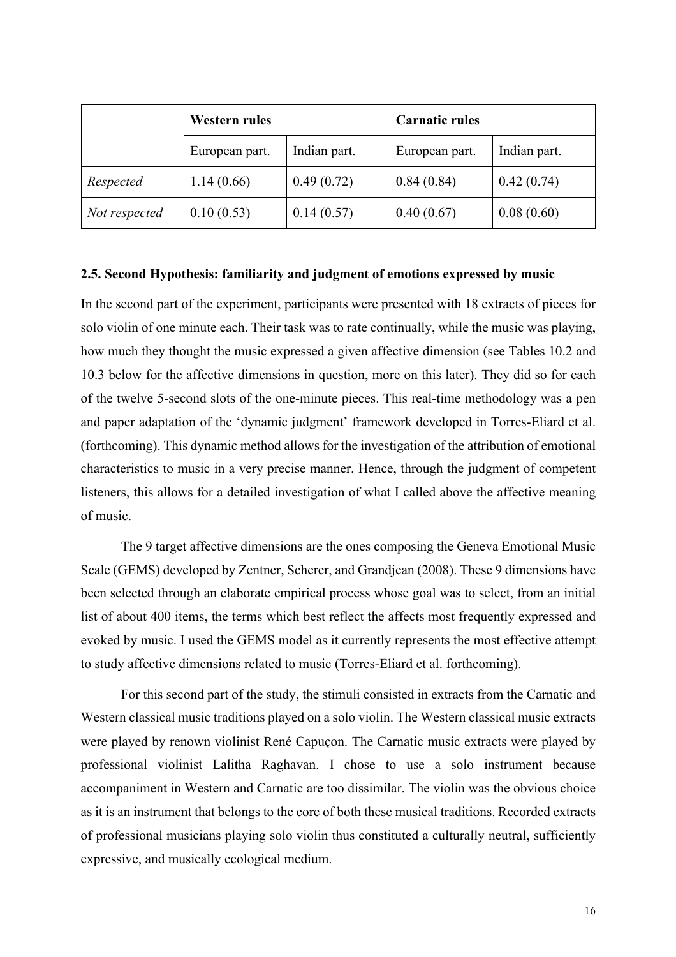|               | <b>Western rules</b> |              | <b>Carnatic rules</b> |              |
|---------------|----------------------|--------------|-----------------------|--------------|
|               | European part.       | Indian part. | European part.        | Indian part. |
| Respected     | 1.14(0.66)           | 0.49(0.72)   | 0.84(0.84)            | 0.42(0.74)   |
| Not respected | 0.10(0.53)           | 0.14(0.57)   | 0.40(0.67)            | 0.08(0.60)   |

#### **2.5. Second Hypothesis: familiarity and judgment of emotions expressed by music**

In the second part of the experiment, participants were presented with 18 extracts of pieces for solo violin of one minute each. Their task was to rate continually, while the music was playing, how much they thought the music expressed a given affective dimension (see Tables 10.2 and 10.3 below for the affective dimensions in question, more on this later). They did so for each of the twelve 5-second slots of the one-minute pieces. This real-time methodology was a pen and paper adaptation of the 'dynamic judgment' framework developed in Torres-Eliard et al. (forthcoming). This dynamic method allows for the investigation of the attribution of emotional characteristics to music in a very precise manner. Hence, through the judgment of competent listeners, this allows for a detailed investigation of what I called above the affective meaning of music.

The 9 target affective dimensions are the ones composing the Geneva Emotional Music Scale (GEMS) developed by Zentner, Scherer, and Grandjean (2008). These 9 dimensions have been selected through an elaborate empirical process whose goal was to select, from an initial list of about 400 items, the terms which best reflect the affects most frequently expressed and evoked by music. I used the GEMS model as it currently represents the most effective attempt to study affective dimensions related to music (Torres-Eliard et al. forthcoming).

For this second part of the study, the stimuli consisted in extracts from the Carnatic and Western classical music traditions played on a solo violin. The Western classical music extracts were played by renown violinist René Capuçon. The Carnatic music extracts were played by professional violinist Lalitha Raghavan. I chose to use a solo instrument because accompaniment in Western and Carnatic are too dissimilar. The violin was the obvious choice as it is an instrument that belongs to the core of both these musical traditions. Recorded extracts of professional musicians playing solo violin thus constituted a culturally neutral, sufficiently expressive, and musically ecological medium.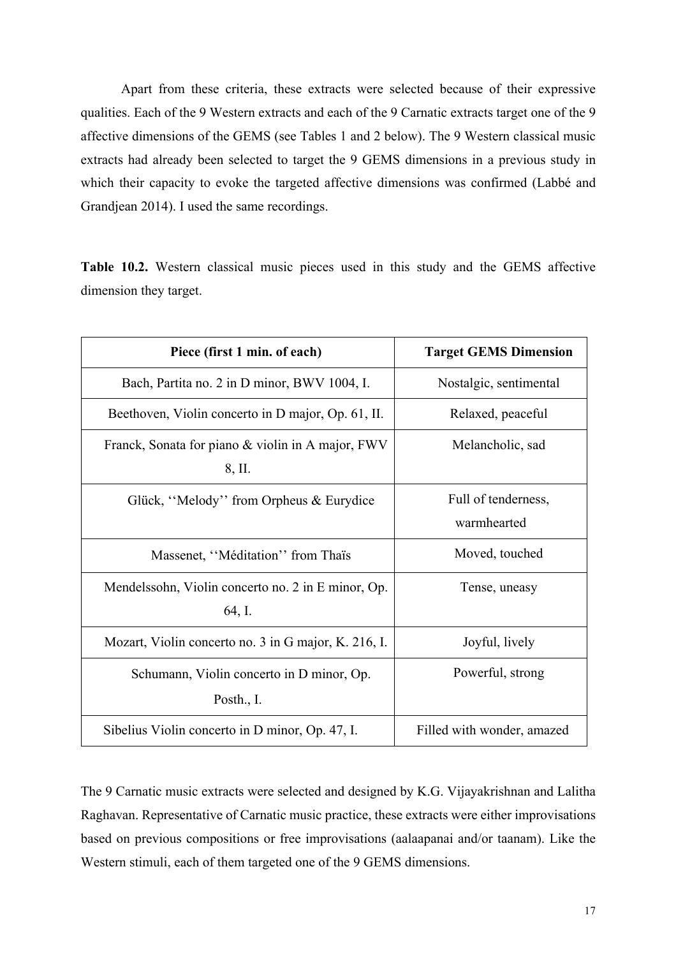Apart from these criteria, these extracts were selected because of their expressive qualities. Each of the 9 Western extracts and each of the 9 Carnatic extracts target one of the 9 affective dimensions of the GEMS (see Tables 1 and 2 below). The 9 Western classical music extracts had already been selected to target the 9 GEMS dimensions in a previous study in which their capacity to evoke the targeted affective dimensions was confirmed (Labbé and Grandjean 2014). I used the same recordings.

**Table 10.2.** Western classical music pieces used in this study and the GEMS affective dimension they target.

| Piece (first 1 min. of each)                                 | <b>Target GEMS Dimension</b>       |
|--------------------------------------------------------------|------------------------------------|
| Bach, Partita no. 2 in D minor, BWV 1004, I.                 | Nostalgic, sentimental             |
| Beethoven, Violin concerto in D major, Op. 61, II.           | Relaxed, peaceful                  |
| Franck, Sonata for piano & violin in A major, FWV<br>8, II.  | Melancholic, sad                   |
| Glück, "Melody" from Orpheus & Eurydice                      | Full of tenderness,<br>warmhearted |
| Massenet, "Méditation" from Thaïs                            | Moved, touched                     |
| Mendelssohn, Violin concerto no. 2 in E minor, Op.<br>64, I. | Tense, uneasy                      |
| Mozart, Violin concerto no. 3 in G major, K. 216, I.         | Joyful, lively                     |
| Schumann, Violin concerto in D minor, Op.<br>Posth., I.      | Powerful, strong                   |
| Sibelius Violin concerto in D minor, Op. 47, I.              | Filled with wonder, amazed         |

The 9 Carnatic music extracts were selected and designed by K.G. Vijayakrishnan and Lalitha Raghavan. Representative of Carnatic music practice, these extracts were either improvisations based on previous compositions or free improvisations (aalaapanai and/or taanam). Like the Western stimuli, each of them targeted one of the 9 GEMS dimensions.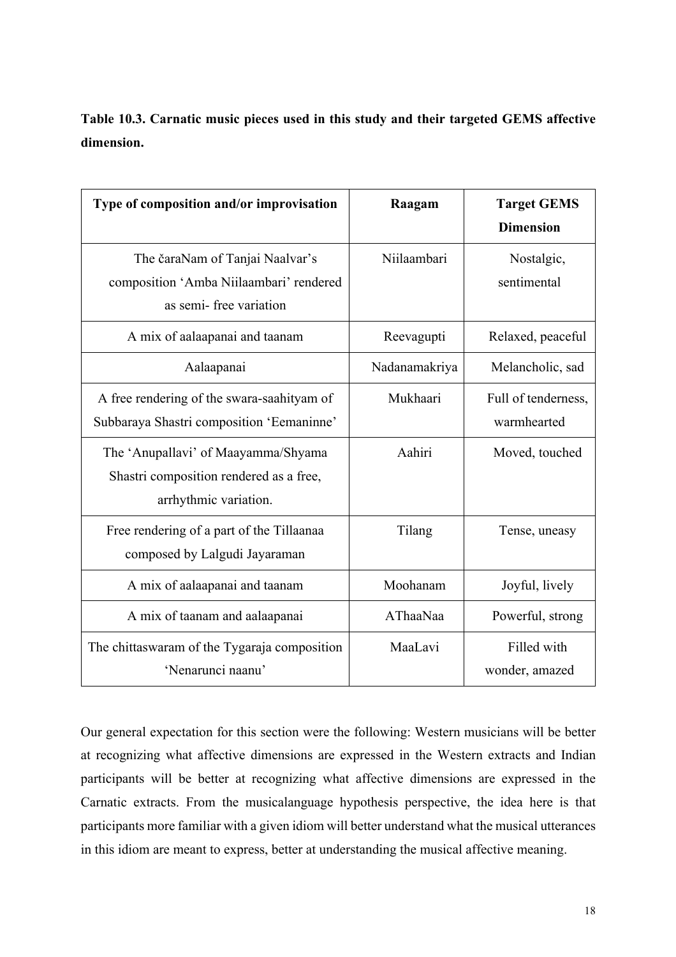**Table 10.3. Carnatic music pieces used in this study and their targeted GEMS affective dimension.**

| Type of composition and/or improvisation                                                                | Raagam        | <b>Target GEMS</b><br><b>Dimension</b> |
|---------------------------------------------------------------------------------------------------------|---------------|----------------------------------------|
| The čaraNam of Tanjai Naalvar's<br>composition 'Amba Niilaambari' rendered<br>as semi-free variation    | Niilaambari   | Nostalgic,<br>sentimental              |
| A mix of aalaapanai and taanam                                                                          | Reevagupti    | Relaxed, peaceful                      |
| Aalaapanai                                                                                              | Nadanamakriya | Melancholic, sad                       |
| A free rendering of the swara-saahityam of<br>Subbaraya Shastri composition 'Eemaninne'                 | Mukhaari      | Full of tenderness,<br>warmhearted     |
| The 'Anupallavi' of Maayamma/Shyama<br>Shastri composition rendered as a free,<br>arrhythmic variation. | Aahiri        | Moved, touched                         |
| Free rendering of a part of the Tillaanaa<br>composed by Lalgudi Jayaraman                              | Tilang        | Tense, uneasy                          |
| A mix of aalaapanai and taanam                                                                          | Moohanam      | Joyful, lively                         |
| A mix of taanam and aalaapanai                                                                          | AThaaNaa      | Powerful, strong                       |
| The chittaswaram of the Tygaraja composition<br>'Nenarunci naanu'                                       | MaaLavi       | Filled with<br>wonder, amazed          |

Our general expectation for this section were the following: Western musicians will be better at recognizing what affective dimensions are expressed in the Western extracts and Indian participants will be better at recognizing what affective dimensions are expressed in the Carnatic extracts. From the musicalanguage hypothesis perspective, the idea here is that participants more familiar with a given idiom will better understand what the musical utterances in this idiom are meant to express, better at understanding the musical affective meaning.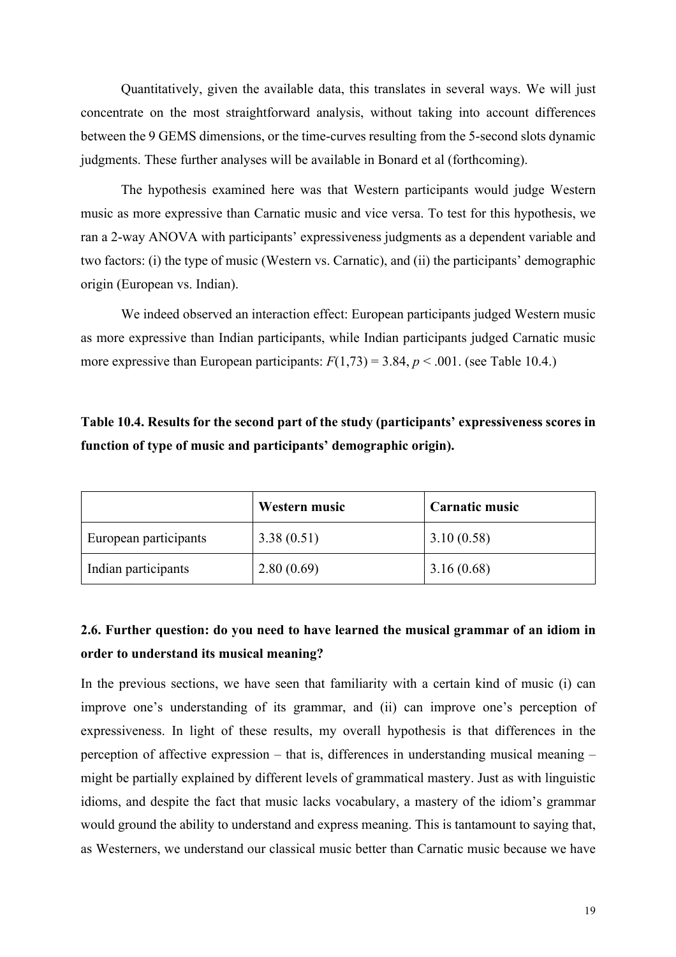Quantitatively, given the available data, this translates in several ways. We will just concentrate on the most straightforward analysis, without taking into account differences between the 9 GEMS dimensions, or the time-curves resulting from the 5-second slots dynamic judgments. These further analyses will be available in Bonard et al (forthcoming).

The hypothesis examined here was that Western participants would judge Western music as more expressive than Carnatic music and vice versa. To test for this hypothesis, we ran a 2-way ANOVA with participants' expressiveness judgments as a dependent variable and two factors: (i) the type of music (Western vs. Carnatic), and (ii) the participants' demographic origin (European vs. Indian).

We indeed observed an interaction effect: European participants judged Western music as more expressive than Indian participants, while Indian participants judged Carnatic music more expressive than European participants:  $F(1,73) = 3.84$ ,  $p < .001$ . (see Table 10.4.)

**Table 10.4. Results for the second part of the study (participants' expressiveness scores in function of type of music and participants' demographic origin).**

|                       | Western music | Carnatic music |
|-----------------------|---------------|----------------|
| European participants | 3.38(0.51)    | 3.10(0.58)     |
| Indian participants   | 2.80(0.69)    | 3.16(0.68)     |

# **2.6. Further question: do you need to have learned the musical grammar of an idiom in order to understand its musical meaning?**

In the previous sections, we have seen that familiarity with a certain kind of music (i) can improve one's understanding of its grammar, and (ii) can improve one's perception of expressiveness. In light of these results, my overall hypothesis is that differences in the perception of affective expression – that is, differences in understanding musical meaning – might be partially explained by different levels of grammatical mastery. Just as with linguistic idioms, and despite the fact that music lacks vocabulary, a mastery of the idiom's grammar would ground the ability to understand and express meaning. This is tantamount to saying that, as Westerners, we understand our classical music better than Carnatic music because we have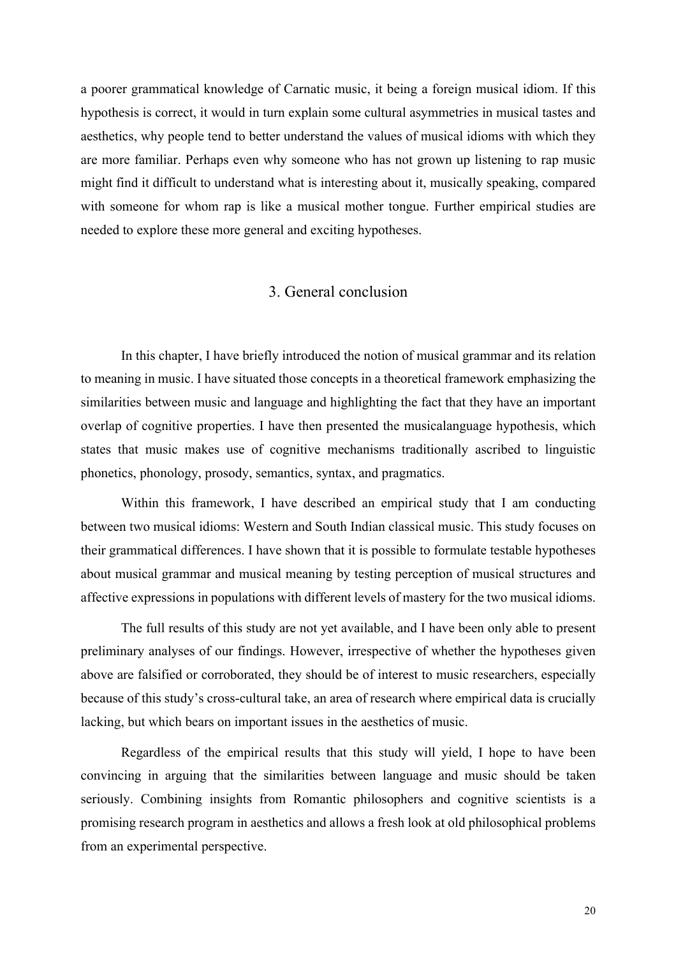a poorer grammatical knowledge of Carnatic music, it being a foreign musical idiom. If this hypothesis is correct, it would in turn explain some cultural asymmetries in musical tastes and aesthetics, why people tend to better understand the values of musical idioms with which they are more familiar. Perhaps even why someone who has not grown up listening to rap music might find it difficult to understand what is interesting about it, musically speaking, compared with someone for whom rap is like a musical mother tongue. Further empirical studies are needed to explore these more general and exciting hypotheses.

## 3. General conclusion

In this chapter, I have briefly introduced the notion of musical grammar and its relation to meaning in music. I have situated those concepts in a theoretical framework emphasizing the similarities between music and language and highlighting the fact that they have an important overlap of cognitive properties. I have then presented the musicalanguage hypothesis, which states that music makes use of cognitive mechanisms traditionally ascribed to linguistic phonetics, phonology, prosody, semantics, syntax, and pragmatics.

Within this framework, I have described an empirical study that I am conducting between two musical idioms: Western and South Indian classical music. This study focuses on their grammatical differences. I have shown that it is possible to formulate testable hypotheses about musical grammar and musical meaning by testing perception of musical structures and affective expressions in populations with different levels of mastery for the two musical idioms.

The full results of this study are not yet available, and I have been only able to present preliminary analyses of our findings. However, irrespective of whether the hypotheses given above are falsified or corroborated, they should be of interest to music researchers, especially because of this study's cross-cultural take, an area of research where empirical data is crucially lacking, but which bears on important issues in the aesthetics of music.

Regardless of the empirical results that this study will yield, I hope to have been convincing in arguing that the similarities between language and music should be taken seriously. Combining insights from Romantic philosophers and cognitive scientists is a promising research program in aesthetics and allows a fresh look at old philosophical problems from an experimental perspective.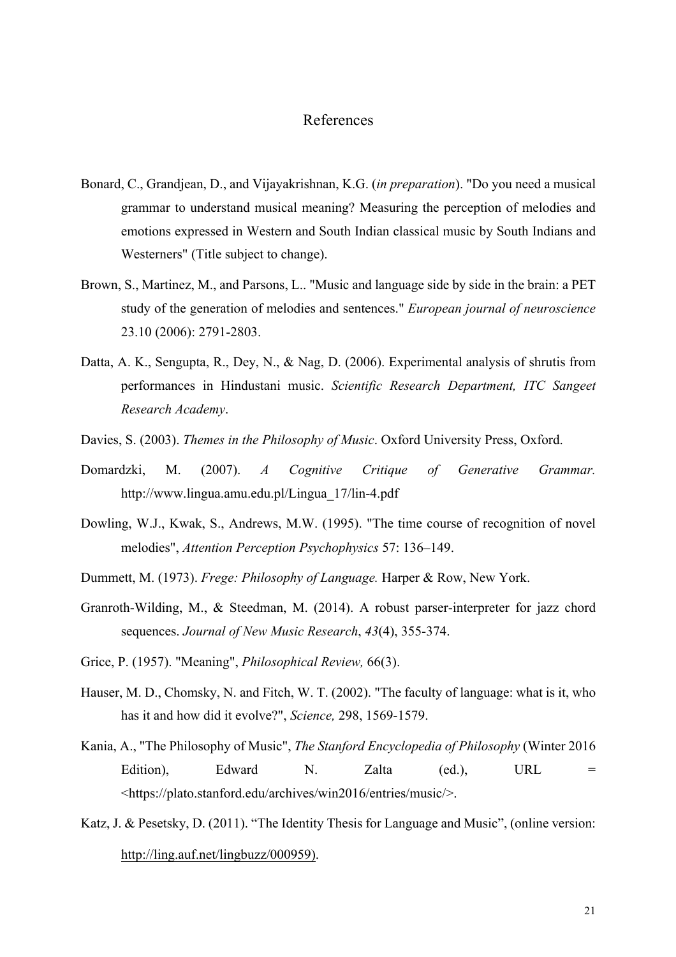### References

- Bonard, C., Grandjean, D., and Vijayakrishnan, K.G. (*in preparation*). "Do you need a musical grammar to understand musical meaning? Measuring the perception of melodies and emotions expressed in Western and South Indian classical music by South Indians and Westerners" (Title subject to change).
- Brown, S., Martinez, M., and Parsons, L.. "Music and language side by side in the brain: a PET study of the generation of melodies and sentences." *European journal of neuroscience* 23.10 (2006): 2791-2803.
- Datta, A. K., Sengupta, R., Dey, N., & Nag, D. (2006). Experimental analysis of shrutis from performances in Hindustani music. *Scientific Research Department, ITC Sangeet Research Academy*.
- Davies, S. (2003). *Themes in the Philosophy of Music*. Oxford University Press, Oxford.
- Domardzki, M. (2007). *A Cognitive Critique of Generative Grammar.*  http://www.lingua.amu.edu.pl/Lingua\_17/lin-4.pdf
- Dowling, W.J., Kwak, S., Andrews, M.W. (1995). "The time course of recognition of novel melodies", *Attention Perception Psychophysics* 57: 136–149.
- Dummett, M. (1973). *Frege: Philosophy of Language.* Harper & Row, New York.
- Granroth-Wilding, M., & Steedman, M. (2014). A robust parser-interpreter for jazz chord sequences. *Journal of New Music Research*, *43*(4), 355-374.
- Grice, P. (1957). "Meaning", *Philosophical Review,* 66(3).
- Hauser, M. D., Chomsky, N. and Fitch, W. T. (2002). "The faculty of language: what is it, who has it and how did it evolve?", *Science,* 298, 1569-1579.
- Kania, A., "The Philosophy of Music", *The Stanford Encyclopedia of Philosophy* (Winter 2016 Edition), Edward N. Zalta (ed.), URL = <https://plato.stanford.edu/archives/win2016/entries/music/>.
- Katz, J. & Pesetsky, D. (2011). "The Identity Thesis for Language and Music", (online version: http://ling.auf.net/lingbuzz/000959).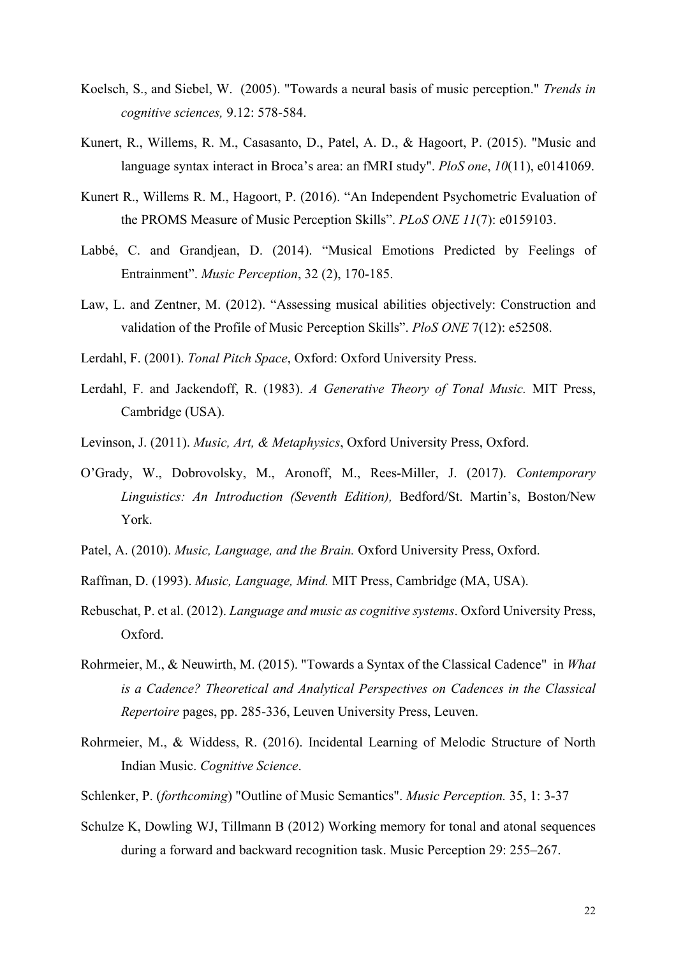- Koelsch, S., and Siebel, W. (2005). "Towards a neural basis of music perception." *Trends in cognitive sciences,* 9.12: 578-584.
- Kunert, R., Willems, R. M., Casasanto, D., Patel, A. D., & Hagoort, P. (2015). "Music and language syntax interact in Broca's area: an fMRI study". *PloS one*, *10*(11), e0141069.
- Kunert R., Willems R. M., Hagoort, P. (2016). "An Independent Psychometric Evaluation of the PROMS Measure of Music Perception Skills". *PLoS ONE 11*(7): e0159103.
- Labbé, C. and Grandjean, D. (2014). "Musical Emotions Predicted by Feelings of Entrainment". *Music Perception*, 32 (2), 170-185.
- Law, L. and Zentner, M. (2012). "Assessing musical abilities objectively: Construction and validation of the Profile of Music Perception Skills". *PloS ONE* 7(12): e52508.
- Lerdahl, F. (2001). *Tonal Pitch Space*, Oxford: Oxford University Press.
- Lerdahl, F. and Jackendoff, R. (1983). *A Generative Theory of Tonal Music.* MIT Press, Cambridge (USA).
- Levinson, J. (2011). *Music, Art, & Metaphysics*, Oxford University Press, Oxford.
- O'Grady, W., Dobrovolsky, M., Aronoff, M., Rees-Miller, J. (2017). *Contemporary Linguistics: An Introduction (Seventh Edition),* Bedford/St. Martin's, Boston/New York.
- Patel, A. (2010). *Music, Language, and the Brain.* Oxford University Press, Oxford.
- Raffman, D. (1993). *Music, Language, Mind.* MIT Press, Cambridge (MA, USA).
- Rebuschat, P. et al. (2012). *Language and music as cognitive systems*. Oxford University Press, Oxford.
- Rohrmeier, M., & Neuwirth, M. (2015). "Towards a Syntax of the Classical Cadence" in *What is a Cadence? Theoretical and Analytical Perspectives on Cadences in the Classical Repertoire* pages, pp. 285-336, Leuven University Press, Leuven.
- Rohrmeier, M., & Widdess, R. (2016). Incidental Learning of Melodic Structure of North Indian Music. *Cognitive Science*.
- Schlenker, P. (*forthcoming*) "Outline of Music Semantics". *Music Perception.* 35, 1: 3-37
- Schulze K, Dowling WJ, Tillmann B (2012) Working memory for tonal and atonal sequences during a forward and backward recognition task. Music Perception 29: 255–267.